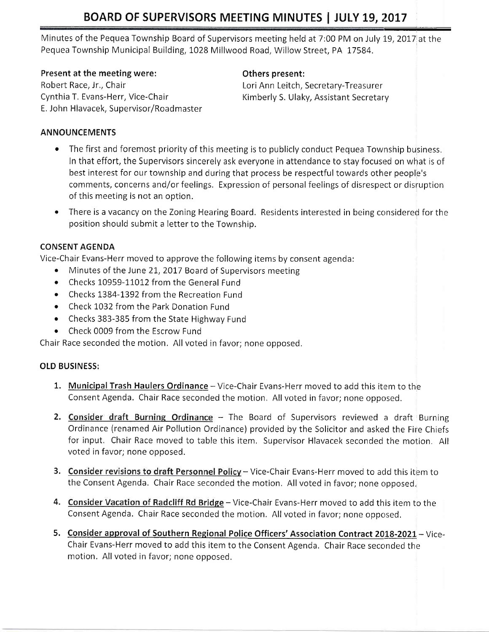# BOARD OF SUPERVISORS MEETING MINUTES | JULY 19, 2017

Minutes of the Pequea Township Board of Supervisors meeting held at 7:00 PM on July 19, 2017 at the Pequea Township Municipal Building, L028 Millwood Road, Willow Street, PA 17584.

## Present at the meeting were: The meeting of the spresent:

Robert Race, Jr., Chair Nice-Chair New York Ann Leitch, Secretary-Treasurer<br>Cynthia T. Evans-Herr, Vice-Chair New York Kimberly S. Ulaky, Assistant Secretary Robert Race, Jr., Chair **Lori Ann Leitch, Secretary-Treasurer** Lori Ann Leitch, Secretary-Treasurer E. John Hlavacek, Supervisor/Roadmaster

## ANNOUNCEMENTS

- The first and foremost priority of this meeting is to publicly conduct Pequea Township business. In that effort, the Supervisors sincerely ask everyone in attendance to stay focused on what is of best interest for our township and during that process be respectful towards other people's comments, concerns and/or feelings. Expression of personal feelings of disrespect or disruption of this meeting is not an option.
- There is a vacancy on the Zoning Hearing Board. Residents interested in being considered for the position should submit a letter to the Township.

## CONSENT AGENDA

Vice-Chair Evans-Herr moved to approve the following items by consent agenda:

- Minutes of the June 21, 2017 Board of Supervisors meeting
- Checks 10959-11012 from the General Fund
- Checks 1384-1392 from the Recreation Fund
- o Check 1032 from the Park Donation Fund
- . Checks 383-385 from the State Highway Fund
- . Check 0009 from the Escrow Fund

Chair Race seconded the motion. Allvoted in favor; none opposed.

## OLD BUSINESS:

- 1. Municipal Trash Haulers Ordinance Vice-Chair Evans-Herr moved to add this item to the Consent Agenda. Chair Race seconded the motion. All voted in favor; none opposed.
- 2. Consider draft Burning Ordinance The Board of Supervisors reviewed a draft Burning Ordinance (renamed Air Pollution Ordinance) provided by the Solicitor and asked the Firie Chiefs for input. Chair Race moved to table this item. Supervisor Hlavacek seconded the motion. All voted in favor; none opposed.
- 3. Consider revisions to draft Personnel Policy Vice-Chair Evans-Herr moved to add this item to the Consent Agenda. Chair Race seconded the motion. All voted in favor; none opposed,
- 4. Consider Vacation of Radcliff Rd Bridge Vice-Chair Evans-Herr moved to add this item to the Consent Agenda. Chair Race seconded the motion. All voted in favor; none opposed,
- 5. Consider approval of Southern Regional Police Officers' Association Contract 2018-2021 Vice-Chair Evans-Herr moved to add this item to the Consent Agenda, Chair Race seconded the motion, All voted in favor; none opposed.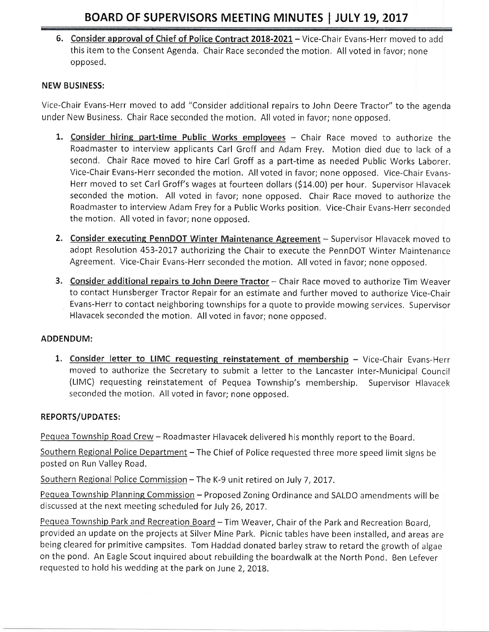6. Consider approval of Chief of Police Contract 2018-2021 - Vice-Chair Evans-Herr moved to add this item to the Consent Agenda. Chair Race seconded the motion. All voted in favor; none opposed.

### NEW BUSINESS:

Vice-Chair Evans-Herr moved to add "Consider additional repairs to John Deere Tractor" to the agenda under New Business. Chair Race seconded the motion, All voted in favor; none opposed.

- 1. Consider hiring part-time Public Works employees Chair Race moved to authorize the Roadmaster to interview applicants Carl Groff and Adam Frey. Motion died due to lack of <sup>a</sup> second. Chair Race moved to hire Carl Groff as a part-time as needed Public Works Laborer. Vice-Chair Evans-Herr seconded the motion. All voted in favor; none opposed. Vice-Chair Evans-Herr moved to set Carl Groff's wages at fourteen dollars (S14,00) per hour. Supervisor Hlavacek seconded the motion. All voted in favor; none opposed. Chair Race moved to authorize the Roadmaster to interview Adam Frey for a Public Works position. Vice-Chair Evans-Herr seconded the motion, All voted in favor; none opposed.
- 2. Consider executing PennDOT Winter Maintenance Agreement Supervisor Hlavacek moved to adopt Resolution 453-2017 authorizing the Chair to execute the PennDOT Winter Maintenance Agreement. Vice-Chair Evans-Herr seconded the motion. All voted in favor; none opposed.
- 3. Consider additional repairs to John Deere Tractor Chair Race moved to authorize Tim Weaver to contact Hunsberger Tractor Repair for an estimate and further moved to authorize Vice-Chair Evans-Herr to contact neighboring townships for a quote to provide mowing services, Supervisor Hlavacek seconded the motion. All voted in favor; none opposed.

#### ADDENDUM:

1. Consider letter to LIMC requesting reinstatement of membership - Vice-Chair Evans-Herr moved to authorize the Secretary to submit a letter to the Lancaster Inter-Municipal Council (LIMC) requesting reinstatement of Pequea Township's membership. Supervisor Hlavacek seconded the motion. All voted in favor; none opposed.

#### REPORTS/UPDATES:

Pequea Township Road Crew - Roadmaster Hlavacek delivered his monthly report to the Board.

Southern Regional Police Department - The Chief of Police requested three more speed limit signs be posted on Run Vallev Road.

Southern Regional Police Commission - The K-9 unit retired on July 7, 2017.

Pequea Township Planning Commission - Proposed Zoning Ordinance and SALDO amendments will be discussed at the next meeting scheduled for July 26, 2017.

Pequea Township Park and Recreation Board - Tim Weaver, Chair of the Park and Recreation Board, provided an update on the projects at Silver Mine Park. Picnic tables have been installed, and areas are being cleared for primitive campsites. Tom Haddad donated barley straw to retard the growth of algae on the pond, An Eagle Scout inquired about rebuilding the boardwalk at the North Pond. Ben Lefever requested to hold his wedding at the park on June 2, 2018.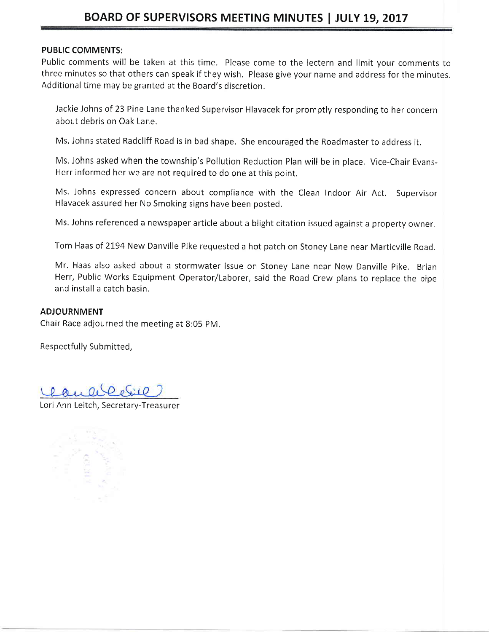## BOARD OF SUPERVISORS MEETING MINUTES | JULY 19, 2017

#### PUBLIC COMMENTS:

Public comments will be taken at this time. Please come to the lectern and limit your comments to three minutes so that others can speak if they wish. Please give your name and address for the minutes. Additional time may be granted at the Board's discretion.

Jackie lohns of 23 Pine Lane thanked Supervisor Hlavacek for promptly responding to her concern about debris on Oak Lane,

Ms, Johns stated Radcliff Road is in bad shape. She encouraged the Roadmaster to address it.

Ms. Johns asked when the township's Pollution Reduction Plan will be in place. Vice-Chair Evans-Herr informed her we are not required to do one at this point,

Ms. Johns expressed concern about compliance with the Clean Indoor Air Act. Supervisor Hlavacek assured her No Smoking signs have been posted.

Ms. Johns referenced a newspaper article about a blight citation issued against a property owner.

Tom Haas of 2194 New Danville Pike requested a hot patch on Stoney Lane near Marticville Road.

Mr. Haas also asked about a stormwater issue on Stoney Lane near New Danville Pike. Brian Herr, Public Works Equipment Operator/Laborer, said the Road Crew plans to replace the pipe and install a catch basin.

#### ADJOURNMENT

Chair Race adjourned the meeting at 8:05 PM,

Respectfully Submitted,

Lori Ann Leitch, Secretary-Treasurer